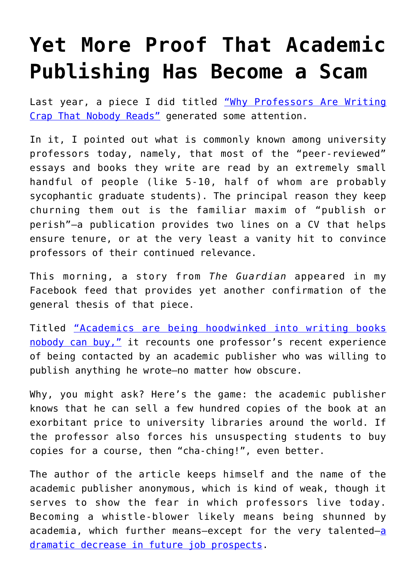## **[Yet More Proof That Academic](https://intellectualtakeout.org/2017/05/yet-more-proof-that-academic-publishing-has-become-a-scam/) [Publishing Has Become a Scam](https://intellectualtakeout.org/2017/05/yet-more-proof-that-academic-publishing-has-become-a-scam/)**

Last year, a piece I did titled ["Why Professors Are Writing](https://www.intellectualtakeout.org/blog/why-professors-are-writing-crap-nobody-reads) [Crap That Nobody Reads"](https://www.intellectualtakeout.org/blog/why-professors-are-writing-crap-nobody-reads) generated some attention.

In it, I pointed out what is commonly known among university professors today, namely, that most of the "peer-reviewed" essays and books they write are read by an extremely small handful of people (like 5-10, half of whom are probably sycophantic graduate students). The principal reason they keep churning them out is the familiar maxim of "publish or perish"—a publication provides two lines on a CV that helps ensure tenure, or at the very least a vanity hit to convince professors of their continued relevance.

This morning, a story from *The Guardian* appeared in my Facebook feed that provides yet another confirmation of the general thesis of that piece.

Titled ["Academics are being hoodwinked into writing books](https://amp.theguardian.com/higher-education-network/2015/sep/04/academics-are-being-hoodwinked-into-writing-books-nobody-can-buy) [nobody can buy,"](https://amp.theguardian.com/higher-education-network/2015/sep/04/academics-are-being-hoodwinked-into-writing-books-nobody-can-buy) it recounts one professor's recent experience of being contacted by an academic publisher who was willing to publish anything he wrote—no matter how obscure.

Why, you might ask? Here's the game: the academic publisher knows that he can sell a few hundred copies of the book at an exorbitant price to university libraries around the world. If the professor also forces his unsuspecting students to buy copies for a course, then "cha-ching!", even better.

The author of the article keeps himself and the name of the academic publisher anonymous, which is kind of weak, though it serves to show the fear in which professors live today. Becoming a whistle-blower likely means being shunned by [a](https://www.intellectualtakeout.org/blog/why-professors-today-so-badly-need-justify-their-existence)cademia, which further means-except for the very talented-a [dramatic decrease in future job prospects.](https://www.intellectualtakeout.org/blog/why-professors-today-so-badly-need-justify-their-existence)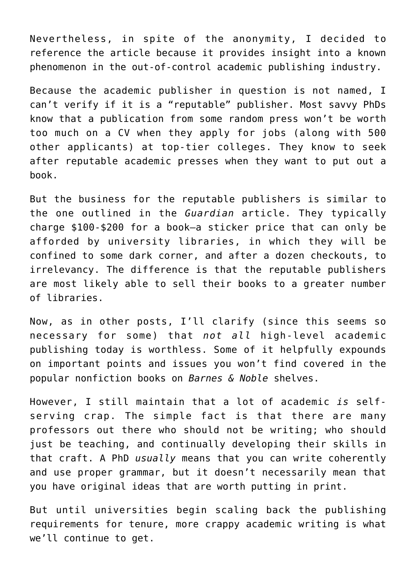Nevertheless, in spite of the anonymity, I decided to reference the article because it provides insight into a known phenomenon in the out-of-control academic publishing industry.

Because the academic publisher in question is not named, I can't verify if it is a "reputable" publisher. Most savvy PhDs know that a publication from some random press won't be worth too much on a CV when they apply for jobs (along with 500 other applicants) at top-tier colleges. They know to seek after reputable academic presses when they want to put out a book.

But the business for the reputable publishers is similar to the one outlined in the *Guardian* article. They typically charge \$100-\$200 for a book—a sticker price that can only be afforded by university libraries, in which they will be confined to some dark corner, and after a dozen checkouts, to irrelevancy. The difference is that the reputable publishers are most likely able to sell their books to a greater number of libraries.

Now, as in other posts, I'll clarify (since this seems so necessary for some) that *not all* high-level academic publishing today is worthless. Some of it helpfully expounds on important points and issues you won't find covered in the popular nonfiction books on *Barnes & Noble* shelves.

However, I still maintain that a lot of academic *is* selfserving crap. The simple fact is that there are many professors out there who should not be writing; who should just be teaching, and continually developing their skills in that craft. A PhD *usually* means that you can write coherently and use proper grammar, but it doesn't necessarily mean that you have original ideas that are worth putting in print.

But until universities begin scaling back the publishing requirements for tenure, more crappy academic writing is what we'll continue to get.